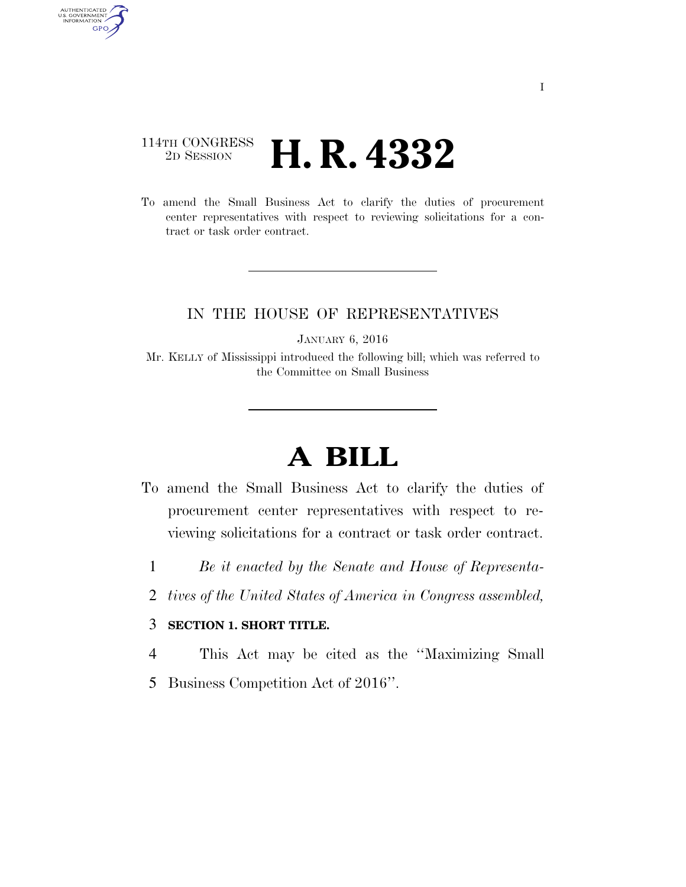## 114TH CONGRESS <sup>2D SESSION</sup> **H. R. 4332**

AUTHENTICATED<br>U.S. GOVERNMENT<br>INFORMATION

**GPO** 

To amend the Small Business Act to clarify the duties of procurement center representatives with respect to reviewing solicitations for a contract or task order contract.

## IN THE HOUSE OF REPRESENTATIVES

JANUARY 6, 2016

Mr. KELLY of Mississippi introduced the following bill; which was referred to the Committee on Small Business

## **A BILL**

- To amend the Small Business Act to clarify the duties of procurement center representatives with respect to reviewing solicitations for a contract or task order contract.
	- 1 *Be it enacted by the Senate and House of Representa-*
	- 2 *tives of the United States of America in Congress assembled,*

## 3 **SECTION 1. SHORT TITLE.**

4 This Act may be cited as the ''Maximizing Small

5 Business Competition Act of 2016''.